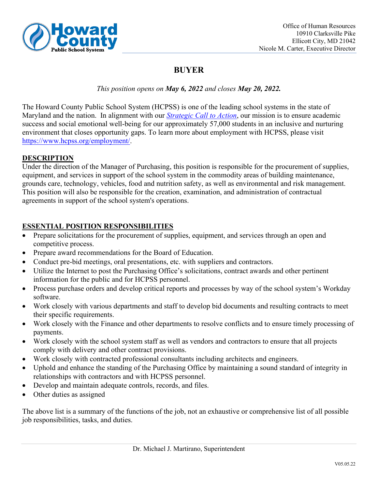

# **BUYER**

# *This position opens on May 6, 2022 and closes May 20, 2022.*

The Howard County Public School System (HCPSS) is one of the leading school systems in the state of Maryland and the nation. In alignment with our *[Strategic Call to Action](https://www.hcpss.org/scta/)*, our mission is to ensure academic success and social emotional well-being for our approximately 57,000 students in an inclusive and nurturing environment that closes opportunity gaps. To learn more about employment with HCPSS, please visit [https://www.hcpss.org/employment/.](https://www.hcpss.org/employment/)

# **DESCRIPTION**

Under the direction of the Manager of Purchasing, this position is responsible for the procurement of supplies, equipment, and services in support of the school system in the commodity areas of building maintenance, grounds care, technology, vehicles, food and nutrition safety, as well as environmental and risk management. This position will also be responsible for the creation, examination, and administration of contractual agreements in support of the school system's operations.

# **ESSENTIAL POSITION RESPONSIBILITIES**

- Prepare solicitations for the procurement of supplies, equipment, and services through an open and competitive process.
- Prepare award recommendations for the Board of Education.
- Conduct pre-bid meetings, oral presentations, etc. with suppliers and contractors.
- Utilize the Internet to post the Purchasing Office's solicitations, contract awards and other pertinent information for the public and for HCPSS personnel.
- Process purchase orders and develop critical reports and processes by way of the school system's Workday software.
- Work closely with various departments and staff to develop bid documents and resulting contracts to meet their specific requirements.
- Work closely with the Finance and other departments to resolve conflicts and to ensure timely processing of payments.
- Work closely with the school system staff as well as vendors and contractors to ensure that all projects comply with delivery and other contract provisions.
- Work closely with contracted professional consultants including architects and engineers.
- Uphold and enhance the standing of the Purchasing Office by maintaining a sound standard of integrity in relationships with contractors and with HCPSS personnel.
- Develop and maintain adequate controls, records, and files.
- Other duties as assigned

The above list is a summary of the functions of the job, not an exhaustive or comprehensive list of all possible job responsibilities, tasks, and duties.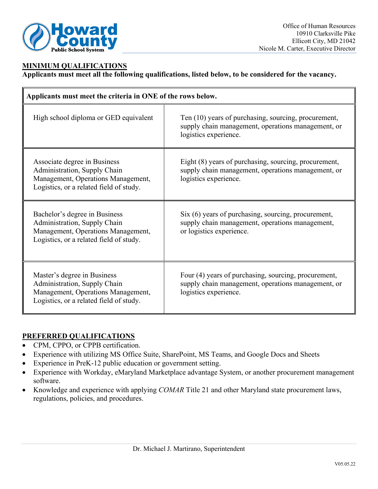

## **MINIMUM QUALIFICATIONS**

**Applicants must meet all the following qualifications, listed below, to be considered for the vacancy.** 

| Applicants must meet the criteria in ONE of the rows below.                                                                                    |                                                                                                                                      |
|------------------------------------------------------------------------------------------------------------------------------------------------|--------------------------------------------------------------------------------------------------------------------------------------|
| High school diploma or GED equivalent                                                                                                          | Ten (10) years of purchasing, sourcing, procurement,<br>supply chain management, operations management, or<br>logistics experience.  |
| Associate degree in Business<br>Administration, Supply Chain<br>Management, Operations Management,<br>Logistics, or a related field of study.  | Eight (8) years of purchasing, sourcing, procurement,<br>supply chain management, operations management, or<br>logistics experience. |
| Bachelor's degree in Business<br>Administration, Supply Chain<br>Management, Operations Management,<br>Logistics, or a related field of study. | Six (6) years of purchasing, sourcing, procurement,<br>supply chain management, operations management,<br>or logistics experience.   |
| Master's degree in Business<br>Administration, Supply Chain<br>Management, Operations Management,<br>Logistics, or a related field of study.   | Four (4) years of purchasing, sourcing, procurement,<br>supply chain management, operations management, or<br>logistics experience.  |

## **PREFERRED QUALIFICATIONS**

- CPM, CPPO, or CPPB certification.
- Experience with utilizing MS Office Suite, SharePoint, MS Teams, and Google Docs and Sheets
- Experience in PreK-12 public education or government setting.
- Experience with Workday, eMaryland Marketplace advantage System, or another procurement management software.
- Knowledge and experience with applying *COMAR* Title 21 and other Maryland state procurement laws, regulations, policies, and procedures.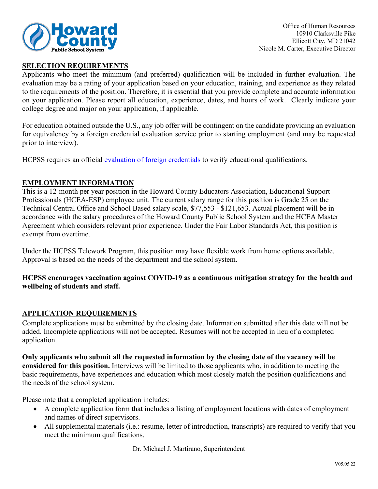

## **SELECTION REQUIREMENTS**

Applicants who meet the minimum (and preferred) qualification will be included in further evaluation. The evaluation may be a rating of your application based on your education, training, and experience as they related to the requirements of the position. Therefore, it is essential that you provide complete and accurate information on your application. Please report all education, experience, dates, and hours of work. Clearly indicate your college degree and major on your application, if applicable.

For education obtained outside the U.S., any job offer will be contingent on the candidate providing an evaluation for equivalency by a foreign credential evaluation service prior to starting employment (and may be requested prior to interview).

HCPSS requires an official [evaluation of foreign credentials](http://www.marylandpublicschools.org/about/Pages/DEE/Certification/Foreign-Transcript-Evaluation-Agencies.aspx) to verify educational qualifications.

## **EMPLOYMENT INFORMATION**

This is a 12-month per year position in the Howard County Educators Association, Educational Support Professionals (HCEA-ESP) employee unit. The current salary range for this position is Grade 25 on the Technical Central Office and School Based salary scale, \$77,553 - \$121,653. Actual placement will be in accordance with the salary procedures of the Howard County Public School System and the HCEA Master Agreement which considers relevant prior experience. Under the Fair Labor Standards Act, this position is exempt from overtime.

Under the HCPSS Telework Program, this position may have flexible work from home options available. Approval is based on the needs of the department and the school system.

## **HCPSS encourages vaccination against COVID-19 as a continuous mitigation strategy for the health and wellbeing of students and staff.**

## **APPLICATION REQUIREMENTS**

Complete applications must be submitted by the closing date. Information submitted after this date will not be added. Incomplete applications will not be accepted. Resumes will not be accepted in lieu of a completed application.

**Only applicants who submit all the requested information by the closing date of the vacancy will be considered for this position.** Interviews will be limited to those applicants who, in addition to meeting the basic requirements, have experiences and education which most closely match the position qualifications and the needs of the school system.

Please note that a completed application includes:

- A complete application form that includes a listing of employment locations with dates of employment and names of direct supervisors.
- All supplemental materials (i.e.: resume, letter of introduction, transcripts) are required to verify that you meet the minimum qualifications.